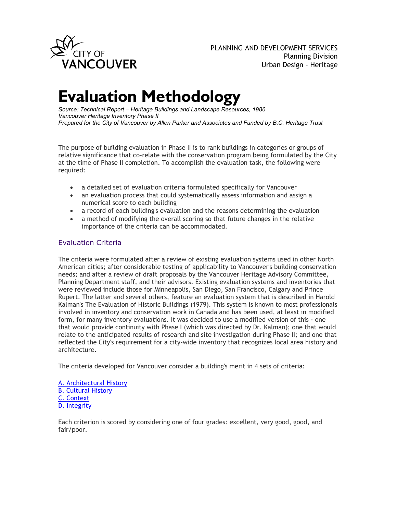

# **Evaluation Methodology**

*Source: Technical Report – Heritage Buildings and Landscape Resources, 1986 Vancouver Heritage Inventory Phase II Prepared for the City of Vancouver by Allen Parker and Associates and Funded by B.C. Heritage Trust*

The purpose of building evaluation in Phase II is to rank buildings in categories or groups of relative significance that co-relate with the conservation program being formulated by the City at the time of Phase II completion. To accomplish the evaluation task, the following were required:

- a detailed set of evaluation criteria formulated specifically for Vancouver
- an evaluation process that could systematically assess information and assign a numerical score to each building
- a record of each building's evaluation and the reasons determining the evaluation
- a method of modifying the overall scoring so that future changes in the relative importance of the criteria can be accommodated.

## Evaluation Criteria

The criteria were formulated after a review of existing evaluation systems used in other North American cities; after considerable testing of applicability to Vancouver's building conservation needs; and after a review of draft proposals by the Vancouver Heritage Advisory Committee, Planning Department staff, and their advisors. Existing evaluation systems and inventories that were reviewed include those for Minneapolis, San Diego, San Francisco, Calgary and Prince Rupert. The latter and several others, feature an evaluation system that is described in Harold Kalman's The Evaluation of Historic Buildings (1979). This system is known to most professionals involved in inventory and conservation work in Canada and has been used, at least in modified form, for many inventory evaluations. It was decided to use a modified version of this - one that would provide continuity with Phase I (which was directed by Dr. Kalman); one that would relate to the anticipated results of research and site investigation during Phase II; and one that reflected the City's requirement for a city-wide inventory that recognizes local area history and architecture.

The criteria developed for Vancouver consider a building's merit in 4 sets of criteria:

[A. Architectural History](http://former.vancouver.ca/commsvcs/planning/heritage/Method.htm%23A) [B. Cultural History](http://former.vancouver.ca/commsvcs/planning/heritage/Method.htm%23B) [C. Context](http://former.vancouver.ca/commsvcs/planning/heritage/Method.htm%23C) [D. Integrity](http://former.vancouver.ca/commsvcs/planning/heritage/Method.htm%23D)

Each criterion is scored by considering one of four grades: excellent, very good, good, and fair/poor.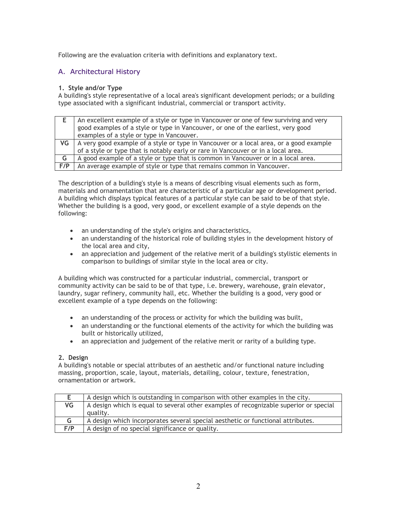Following are the evaluation criteria with definitions and explanatory text.

# A. Architectural History

#### **1. Style and/or Type**

A building's style representative of a local area's significant development periods; or a building type associated with a significant industrial, commercial or transport activity.

|     | An excellent example of a style or type in Vancouver or one of few surviving and very<br>good examples of a style or type in Vancouver, or one of the earliest, very good<br>examples of a style or type in Vancouver. |
|-----|------------------------------------------------------------------------------------------------------------------------------------------------------------------------------------------------------------------------|
| VG  | A very good example of a style or type in Vancouver or a local area, or a good example<br>of a style or type that is notably early or rare in Vancouver or in a local area.                                            |
| G   | A good example of a style or type that is common in Vancouver or in a local area.                                                                                                                                      |
| F/P | An average example of style or type that remains common in Vancouver.                                                                                                                                                  |

The description of a building's style is a means of describing visual elements such as form, materials and ornamentation that are characteristic of a particular age or development period. A building which displays typical features of a particular style can be said to be of that style. Whether the building is a good, very good, or excellent example of a style depends on the following:

- an understanding of the style's origins and characteristics,
- an understanding of the historical role of building styles in the development history of the local area and city,
- an appreciation and judgement of the relative merit of a building's stylistic elements in comparison to buildings of similar style in the local area or city.

A building which was constructed for a particular industrial, commercial, transport or community activity can be said to be of that type, i.e. brewery, warehouse, grain elevator, laundry, sugar refinery, community hall, etc. Whether the building is a good, very good or excellent example of a type depends on the following:

- an understanding of the process or activity for which the building was built,
- an understanding or the functional elements of the activity for which the building was built or historically utilized,
- an appreciation and judgement of the relative merit or rarity of a building type.

#### **2. Design**

A building's notable or special attributes of an aesthetic and/or functional nature including massing, proportion, scale, layout, materials, detailing, colour, texture, fenestration, ornamentation or artwork.

|     | A design which is outstanding in comparison with other examples in the city.          |  |  |  |
|-----|---------------------------------------------------------------------------------------|--|--|--|
| VG  | A design which is equal to several other examples of recognizable superior or special |  |  |  |
|     | quality.                                                                              |  |  |  |
| G   | A design which incorporates several special aesthetic or functional attributes.       |  |  |  |
| F/P | A design of no special significance or quality.                                       |  |  |  |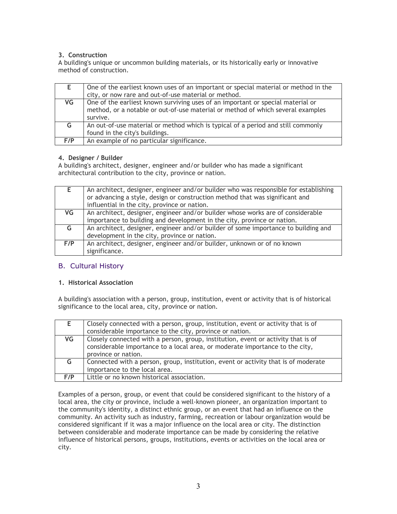## **3. Construction**

A building's unique or uncommon building materials, or its historically early or innovative method of construction.

|     | One of the earliest known uses of an important or special material or method in the                                                                                            |
|-----|--------------------------------------------------------------------------------------------------------------------------------------------------------------------------------|
|     | city, or now rare and out-of-use material or method.                                                                                                                           |
| VG  | One of the earliest known surviving uses of an important or special material or<br>method, or a notable or out-of-use material or method of which several examples<br>survive. |
| G   | An out-of-use material or method which is typical of a period and still commonly<br>found in the city's buildings.                                                             |
| F/P | An example of no particular significance.                                                                                                                                      |

#### **4. Designer / Builder**

A building's architect, designer, engineer and/or builder who has made a significant architectural contribution to the city, province or nation.

|     | An architect, designer, engineer and/or builder who was responsible for establishing<br>or advancing a style, design or construction method that was significant and<br>influential in the city, province or nation. |  |  |  |  |
|-----|----------------------------------------------------------------------------------------------------------------------------------------------------------------------------------------------------------------------|--|--|--|--|
| VG  | An architect, designer, engineer and/or builder whose works are of considerable                                                                                                                                      |  |  |  |  |
|     | importance to building and development in the city, province or nation.                                                                                                                                              |  |  |  |  |
| G   | An architect, designer, engineer and/or builder of some importance to building and                                                                                                                                   |  |  |  |  |
|     | development in the city, province or nation.                                                                                                                                                                         |  |  |  |  |
| F/P | An architect, designer, engineer and/or builder, unknown or of no known                                                                                                                                              |  |  |  |  |
|     | significance.                                                                                                                                                                                                        |  |  |  |  |

## B. Cultural History

#### **1. Historical Association**

A building's association with a person, group, institution, event or activity that is of historical significance to the local area, city, province or nation.

|     | Closely connected with a person, group, institution, event or activity that is of<br>considerable importance to the city, province or nation.                     |
|-----|-------------------------------------------------------------------------------------------------------------------------------------------------------------------|
| VG  | Closely connected with a person, group, institution, event or activity that is of<br>considerable importance to a local area, or moderate importance to the city, |
|     | province or nation.                                                                                                                                               |
| G.  | Connected with a person, group, institution, event or activity that is of moderate                                                                                |
|     | importance to the local area.                                                                                                                                     |
| F/P | Little or no known historical association.                                                                                                                        |

Examples of a person, group, or event that could be considered significant to the history of a local area, the city or province, include a well-known pioneer, an organization important to the community's identity, a distinct ethnic group, or an event that had an influence on the community. An activity such as industry, farming, recreation or labour organization would be considered significant if it was a major influence on the local area or city. The distinction between considerable and moderate importance can be made by considering the relative influence of historical persons, groups, institutions, events or activities on the local area or city.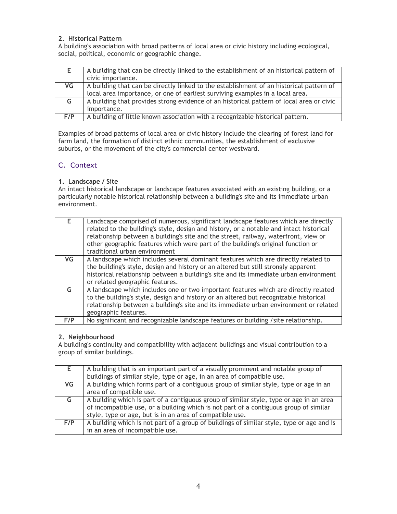### **2. Historical Pattern**

A building's association with broad patterns of local area or civic history including ecological, social, political, economic or geographic change.

|     | A building that can be directly linked to the establishment of an historical pattern of  |
|-----|------------------------------------------------------------------------------------------|
|     | civic importance.                                                                        |
| VG  | A building that can be directly linked to the establishment of an historical pattern of  |
|     | local area importance, or one of earliest surviving examples in a local area.            |
| G   | A building that provides strong evidence of an historical pattern of local area or civic |
|     | importance.                                                                              |
| F/P | A building of little known association with a recognizable historical pattern.           |

Examples of broad patterns of local area or civic history include the clearing of forest land for farm land, the formation of distinct ethnic communities, the establishment of exclusive suburbs, or the movement of the city's commercial center westward.

# C. Context

### **1. Landscape / Site**

An intact historical landscape or landscape features associated with an existing building, or a particularly notable historical relationship between a building's site and its immediate urban environment.

| F         | Landscape comprised of numerous, significant landscape features which are directly<br>related to the building's style, design and history, or a notable and intact historical<br>relationship between a building's site and the street, railway, waterfront, view or<br>other geographic features which were part of the building's original function or<br>traditional urban environment |
|-----------|-------------------------------------------------------------------------------------------------------------------------------------------------------------------------------------------------------------------------------------------------------------------------------------------------------------------------------------------------------------------------------------------|
| <b>VG</b> | A landscape which includes several dominant features which are directly related to<br>the building's style, design and history or an altered but still strongly apparent                                                                                                                                                                                                                  |
|           | historical relationship between a building's site and its immediate urban environment<br>or related geographic features.                                                                                                                                                                                                                                                                  |
| G         | A landscape which includes one or two important features which are directly related                                                                                                                                                                                                                                                                                                       |
|           | to the building's style, design and history or an altered but recognizable historical                                                                                                                                                                                                                                                                                                     |
|           | relationship between a building's site and its immediate urban environment or related                                                                                                                                                                                                                                                                                                     |
|           |                                                                                                                                                                                                                                                                                                                                                                                           |
|           | geographic features.                                                                                                                                                                                                                                                                                                                                                                      |
| F/P       | No significant and recognizable landscape features or building / site relationship.                                                                                                                                                                                                                                                                                                       |

#### **2. Neighbourhood**

A building's continuity and compatibility with adjacent buildings and visual contribution to a group of similar buildings.

|     | A building that is an important part of a visually prominent and notable group of         |  |  |  |  |
|-----|-------------------------------------------------------------------------------------------|--|--|--|--|
|     | buildings of similar style, type or age, in an area of compatible use.                    |  |  |  |  |
| VG  | A building which forms part of a contiguous group of similar style, type or age in an     |  |  |  |  |
|     | area of compatible use.                                                                   |  |  |  |  |
| G   | A building which is part of a contiguous group of similar style, type or age in an area   |  |  |  |  |
|     | of incompatible use, or a building which is not part of a contiguous group of similar     |  |  |  |  |
|     | style, type or age, but is in an area of compatible use.                                  |  |  |  |  |
| F/P | A building which is not part of a group of buildings of similar style, type or age and is |  |  |  |  |
|     | in an area of incompatible use.                                                           |  |  |  |  |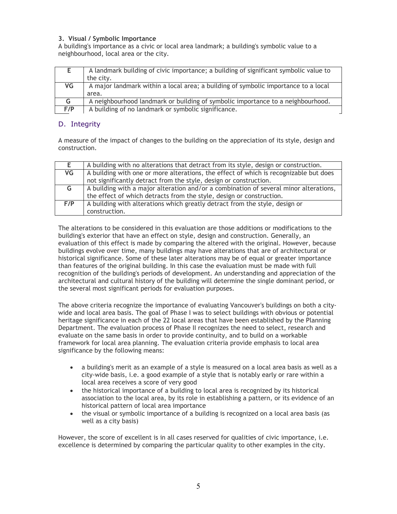#### **3. Visual / Symbolic Importance**

A building's importance as a civic or local area landmark; a building's symbolic value to a neighbourhood, local area or the city.

|     | A landmark building of civic importance; a building of significant symbolic value to |  |  |  |  |
|-----|--------------------------------------------------------------------------------------|--|--|--|--|
|     | the city.                                                                            |  |  |  |  |
| VG  | A major landmark within a local area; a building of symbolic importance to a local   |  |  |  |  |
|     | area.                                                                                |  |  |  |  |
| G.  | A neighbourhood landmark or building of symbolic importance to a neighbourhood.      |  |  |  |  |
| F/P | A building of no landmark or symbolic significance.                                  |  |  |  |  |

## D. Integrity

A measure of the impact of changes to the building on the appreciation of its style, design and construction.

| E.  | A building with no alterations that detract from its style, design or construction.   |  |  |  |
|-----|---------------------------------------------------------------------------------------|--|--|--|
| VG  | A building with one or more alterations, the effect of which is recognizable but does |  |  |  |
|     | not significantly detract from the style, design or construction.                     |  |  |  |
| G   | A building with a major alteration and/or a combination of several minor alterations, |  |  |  |
|     | the effect of which detracts from the style, design or construction.                  |  |  |  |
| F/P | A building with alterations which greatly detract from the style, design or           |  |  |  |
|     | construction.                                                                         |  |  |  |

The alterations to be considered in this evaluation are those additions or modifications to the building's exterior that have an effect on style, design and construction. Generally, an evaluation of this effect is made by comparing the altered with the original. However, because buildings evolve over time, many buildings may have alterations that are of architectural or historical significance. Some of these later alterations may be of equal or greater importance than features of the original building. In this case the evaluation must be made with full recognition of the building's periods of development. An understanding and appreciation of the architectural and cultural history of the building will determine the single dominant period, or the several most significant periods for evaluation purposes.

The above criteria recognize the importance of evaluating Vancouver's buildings on both a citywide and local area basis. The goal of Phase I was to select buildings with obvious or potential heritage significance in each of the 22 local areas that have been established by the Planning Department. The evaluation process of Phase II recognizes the need to select, research and evaluate on the same basis in order to provide continuity, and to build on a workable framework for local area planning. The evaluation criteria provide emphasis to local area significance by the following means:

- a building's merit as an example of a style is measured on a local area basis as well as a city-wide basis, i.e. a good example of a style that is notably early or rare within a local area receives a score of very good
- the historical importance of a building to local area is recognized by its historical association to the local area, by its role in establishing a pattern, or its evidence of an historical pattern of local area importance
- the visual or symbolic importance of a building is recognized on a local area basis (as well as a city basis)

However, the score of excellent is in all cases reserved for qualities of civic importance, i.e. excellence is determined by comparing the particular quality to other examples in the city.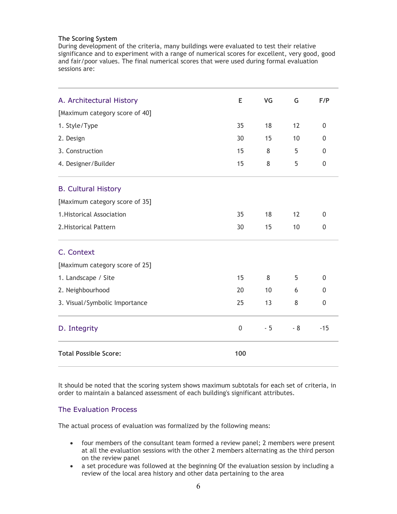#### **The Scoring System**

During development of the criteria, many buildings were evaluated to test their relative significance and to experiment with a range of numerical scores for excellent, very good, good and fair/poor values. The final numerical scores that were used during formal evaluation sessions are:

| A. Architectural History       | E           | VG   | G    | F/P            |
|--------------------------------|-------------|------|------|----------------|
| [Maximum category score of 40] |             |      |      |                |
| 1. Style/Type                  | 35          | 18   | 12   | $\mathbf{0}$   |
| 2. Design                      | 30          | 15   | 10   | 0              |
| 3. Construction                | 15          | 8    | 5    | $\Omega$       |
| 4. Designer/Builder            | 15          | 8    | 5    | $\overline{0}$ |
| <b>B. Cultural History</b>     |             |      |      |                |
| [Maximum category score of 35] |             |      |      |                |
| 1. Historical Association      | 35          | 18   | 12   | $\mathbf{0}$   |
| 2. Historical Pattern          | 30          | 15   | 10   | 0              |
| C. Context                     |             |      |      |                |
| [Maximum category score of 25] |             |      |      |                |
| 1. Landscape / Site            | 15          | 8    | 5    | $\Omega$       |
| 2. Neighbourhood               | 20          | 10   | 6    | $\mathbf{0}$   |
| 3. Visual/Symbolic Importance  | 25          | 13   | 8    | $\overline{0}$ |
| D. Integrity                   | $\mathbf 0$ | $-5$ | $-8$ | $-15$          |
| <b>Total Possible Score:</b>   | 100         |      |      |                |

It should be noted that the scoring system shows maximum subtotals for each set of criteria, in order to maintain a balanced assessment of each building's significant attributes.

## The Evaluation Process

The actual process of evaluation was formalized by the following means:

- four members of the consultant team formed a review panel; 2 members were present at all the evaluation sessions with the other 2 members alternating as the third person on the review panel
- a set procedure was followed at the beginning Of the evaluation session by including a review of the local area history and other data pertaining to the area